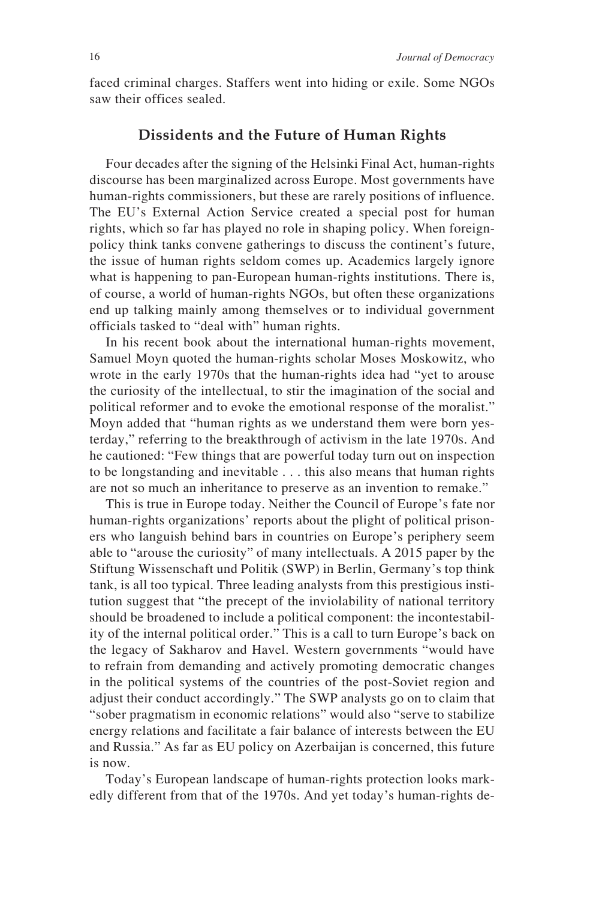faced criminal charges. Staffers went into hiding or exile. Some NGOs saw their offices sealed.

## **Dissidents and the Future of Human Rights**

Four decades after the signing of the Helsinki Final Act, human-rights discourse has been marginalized across Europe. Most governments have human-rights commissioners, but these are rarely positions of influence. The EU's External Action Service created a special post for human rights, which so far has played no role in shaping policy. When foreignpolicy think tanks convene gatherings to discuss the continent's future, the issue of human rights seldom comes up. Academics largely ignore what is happening to pan-European human-rights institutions. There is, of course, a world of human-rights NGOs, but often these organizations end up talking mainly among themselves or to individual government officials tasked to "deal with" human rights.

In his recent book about the international human-rights movement, Samuel Moyn quoted the human-rights scholar Moses Moskowitz, who wrote in the early 1970s that the human-rights idea had "yet to arouse the curiosity of the intellectual, to stir the imagination of the social and political reformer and to evoke the emotional response of the moralist." Moyn added that "human rights as we understand them were born yesterday," referring to the breakthrough of activism in the late 1970s. And he cautioned: "Few things that are powerful today turn out on inspection to be longstanding and inevitable . . . this also means that human rights are not so much an inheritance to preserve as an invention to remake."

This is true in Europe today. Neither the Council of Europe's fate nor human-rights organizations' reports about the plight of political prisoners who languish behind bars in countries on Europe's periphery seem able to "arouse the curiosity" of many intellectuals. A 2015 paper by the Stiftung Wissenschaft und Politik (SWP) in Berlin, Germany's top think tank, is all too typical. Three leading analysts from this prestigious institution suggest that "the precept of the inviolability of national territory should be broadened to include a political component: the incontestability of the internal political order." This is a call to turn Europe's back on the legacy of Sakharov and Havel. Western governments "would have to refrain from demanding and actively promoting democratic changes in the political systems of the countries of the post-Soviet region and adjust their conduct accordingly." The SWP analysts go on to claim that "sober pragmatism in economic relations" would also "serve to stabilize energy relations and facilitate a fair balance of interests between the EU and Russia." As far as EU policy on Azerbaijan is concerned, this future is now.

Today's European landscape of human-rights protection looks markedly different from that of the 1970s. And yet today's human-rights de-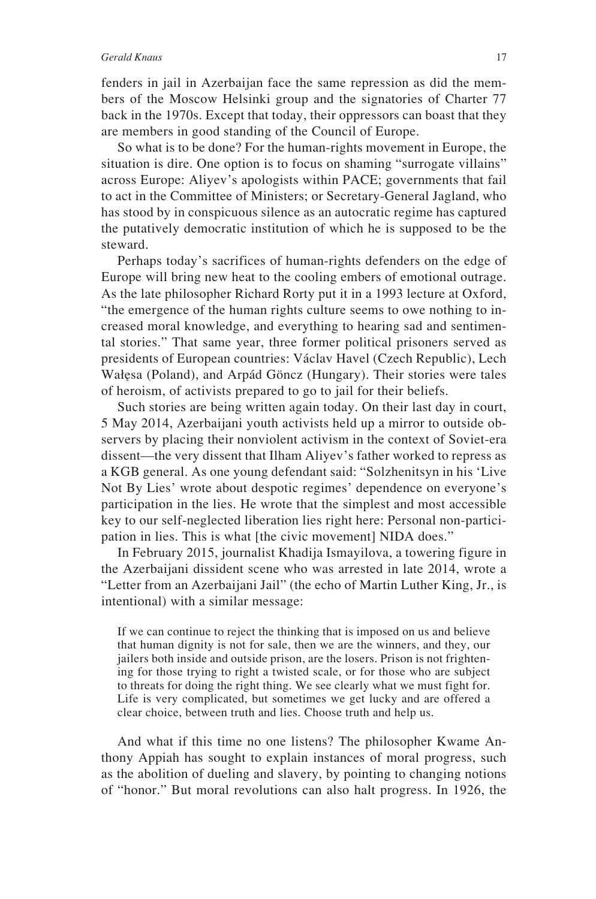## *Gerald Knaus* 17

fenders in jail in Azerbaijan face the same repression as did the members of the Moscow Helsinki group and the signatories of Charter 77 back in the 1970s. Except that today, their oppressors can boast that they are members in good standing of the Council of Europe.

So what is to be done? For the human-rights movement in Europe, the situation is dire. One option is to focus on shaming "surrogate villains" across Europe: Aliyev's apologists within PACE; governments that fail to act in the Committee of Ministers; or Secretary-General Jagland, who has stood by in conspicuous silence as an autocratic regime has captured the putatively democratic institution of which he is supposed to be the steward.

Perhaps today's sacrifices of human-rights defenders on the edge of Europe will bring new heat to the cooling embers of emotional outrage. As the late philosopher Richard Rorty put it in a 1993 lecture at Oxford, "the emergence of the human rights culture seems to owe nothing to increased moral knowledge, and everything to hearing sad and sentimental stories." That same year, three former political prisoners served as presidents of European countries: Václav Havel (Czech Republic), Lech Wałęsa (Poland), and Arpád Göncz (Hungary). Their stories were tales of heroism, of activists prepared to go to jail for their beliefs.

Such stories are being written again today. On their last day in court, 5 May 2014, Azerbaijani youth activists held up a mirror to outside observers by placing their nonviolent activism in the context of Soviet-era dissent—the very dissent that Ilham Aliyev's father worked to repress as a KGB general. As one young defendant said: "Solzhenitsyn in his 'Live Not By Lies' wrote about despotic regimes' dependence on everyone's participation in the lies. He wrote that the simplest and most accessible key to our self-neglected liberation lies right here: Personal non-participation in lies. This is what [the civic movement] NIDA does."

In February 2015, journalist Khadija Ismayilova, a towering figure in the Azerbaijani dissident scene who was arrested in late 2014, wrote a "Letter from an Azerbaijani Jail" (the echo of Martin Luther King, Jr., is intentional) with a similar message:

If we can continue to reject the thinking that is imposed on us and believe that human dignity is not for sale, then we are the winners, and they, our jailers both inside and outside prison, are the losers. Prison is not frightening for those trying to right a twisted scale, or for those who are subject to threats for doing the right thing. We see clearly what we must fight for. Life is very complicated, but sometimes we get lucky and are offered a clear choice, between truth and lies. Choose truth and help us.

And what if this time no one listens? The philosopher Kwame Anthony Appiah has sought to explain instances of moral progress, such as the abolition of dueling and slavery, by pointing to changing notions of "honor." But moral revolutions can also halt progress. In 1926, the